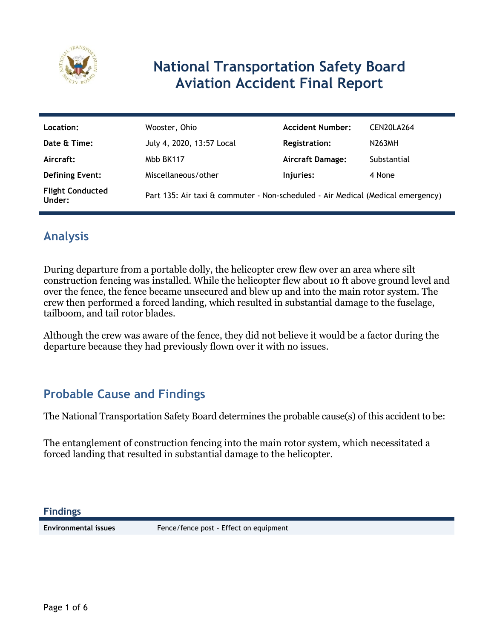

# **National Transportation Safety Board Aviation Accident Final Report**

| Location:                         | Wooster, Ohio                                                                   | <b>Accident Number:</b> | CEN20LA264  |
|-----------------------------------|---------------------------------------------------------------------------------|-------------------------|-------------|
| Date & Time:                      | July 4, 2020, 13:57 Local                                                       | <b>Registration:</b>    | N263MH      |
| Aircraft:                         | Mbb BK117                                                                       | <b>Aircraft Damage:</b> | Substantial |
| <b>Defining Event:</b>            | Miscellaneous/other                                                             | Injuries:               | 4 None      |
| <b>Flight Conducted</b><br>Under: | Part 135: Air taxi & commuter - Non-scheduled - Air Medical (Medical emergency) |                         |             |

# **Analysis**

During departure from a portable dolly, the helicopter crew flew over an area where silt construction fencing was installed. While the helicopter flew about 10 ft above ground level and over the fence, the fence became unsecured and blew up and into the main rotor system. The crew then performed a forced landing, which resulted in substantial damage to the fuselage, tailboom, and tail rotor blades.

Although the crew was aware of the fence, they did not believe it would be a factor during the departure because they had previously flown over it with no issues.

## **Probable Cause and Findings**

The National Transportation Safety Board determines the probable cause(s) of this accident to be:

The entanglement of construction fencing into the main rotor system, which necessitated a forced landing that resulted in substantial damage to the helicopter.

**Findings**

**Environmental issues** Fence/fence post - Effect on equipment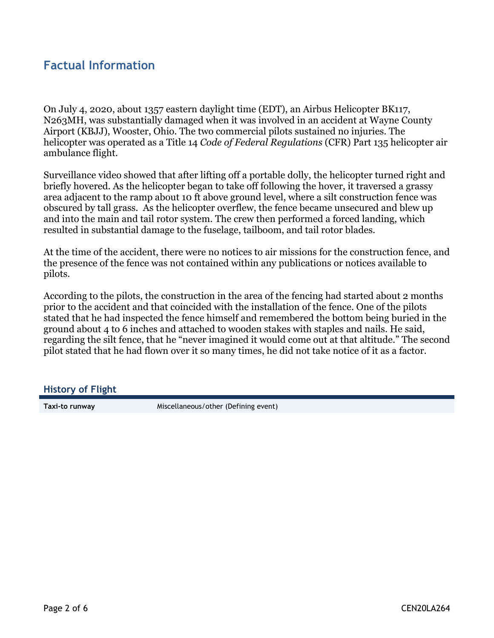### **Factual Information**

On July 4, 2020, about 1357 eastern daylight time (EDT), an Airbus Helicopter BK117, N263MH, was substantially damaged when it was involved in an accident at Wayne County Airport (KBJJ), Wooster, Ohio. The two commercial pilots sustained no injuries. The helicopter was operated as a Title 14 *Code of Federal Regulations* (CFR) Part 135 helicopter air ambulance flight.

Surveillance video showed that after lifting off a portable dolly, the helicopter turned right and briefly hovered. As the helicopter began to take off following the hover, it traversed a grassy area adjacent to the ramp about 10 ft above ground level, where a silt construction fence was obscured by tall grass. As the helicopter overflew, the fence became unsecured and blew up and into the main and tail rotor system. The crew then performed a forced landing, which resulted in substantial damage to the fuselage, tailboom, and tail rotor blades.

At the time of the accident, there were no notices to air missions for the construction fence, and the presence of the fence was not contained within any publications or notices available to pilots.

According to the pilots, the construction in the area of the fencing had started about 2 months prior to the accident and that coincided with the installation of the fence. One of the pilots stated that he had inspected the fence himself and remembered the bottom being buried in the ground about 4 to 6 inches and attached to wooden stakes with staples and nails. He said, regarding the silt fence, that he "never imagined it would come out at that altitude." The second pilot stated that he had flown over it so many times, he did not take notice of it as a factor.

#### **History of Flight**

**Taxi-to runway** Miscellaneous/other (Defining event)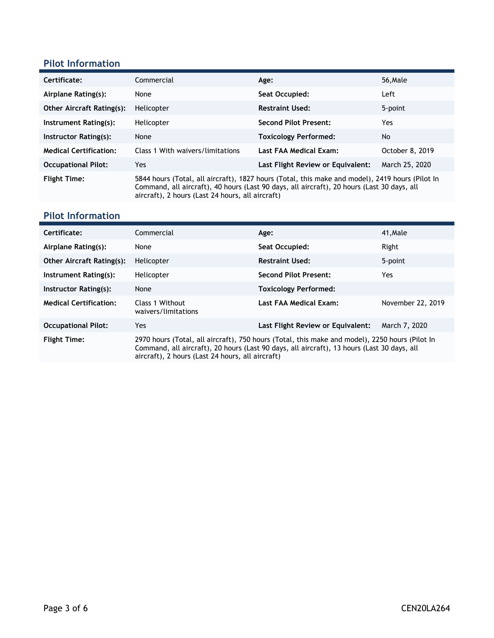#### **Pilot Information**

| Certificate:                     | Commercial                                                                                                                                                                                                                                        | Age:                              | 56, Male        |
|----------------------------------|---------------------------------------------------------------------------------------------------------------------------------------------------------------------------------------------------------------------------------------------------|-----------------------------------|-----------------|
| Airplane Rating(s):              | None                                                                                                                                                                                                                                              | Seat Occupied:                    | Left            |
| <b>Other Aircraft Rating(s):</b> | Helicopter                                                                                                                                                                                                                                        | <b>Restraint Used:</b>            | 5-point         |
| Instrument Rating(s):            | Helicopter                                                                                                                                                                                                                                        | <b>Second Pilot Present:</b>      | Yes             |
| Instructor Rating(s):            | None                                                                                                                                                                                                                                              | <b>Toxicology Performed:</b>      | No              |
| <b>Medical Certification:</b>    | Class 1 With waivers/limitations                                                                                                                                                                                                                  | Last FAA Medical Exam:            | October 8, 2019 |
| <b>Occupational Pilot:</b>       | Yes.                                                                                                                                                                                                                                              | Last Flight Review or Equivalent: | March 25, 2020  |
| <b>Flight Time:</b>              | 5844 hours (Total, all aircraft), 1827 hours (Total, this make and model), 2419 hours (Pilot In<br>Command, all aircraft), 40 hours (Last 90 days, all aircraft), 20 hours (Last 30 days, all<br>aircraft), 2 hours (Last 24 hours, all aircraft) |                                   |                 |

#### **Pilot Information**

| Certificate:                     | Commercial                                                                                                                                                                                                                                       | Age:                              | 41, Male          |
|----------------------------------|--------------------------------------------------------------------------------------------------------------------------------------------------------------------------------------------------------------------------------------------------|-----------------------------------|-------------------|
| Airplane Rating(s):              | None                                                                                                                                                                                                                                             | Seat Occupied:                    | Right             |
| <b>Other Aircraft Rating(s):</b> | Helicopter                                                                                                                                                                                                                                       | <b>Restraint Used:</b>            | 5-point           |
| Instrument Rating(s):            | Helicopter                                                                                                                                                                                                                                       | <b>Second Pilot Present:</b>      | Yes.              |
| Instructor Rating(s):            | None                                                                                                                                                                                                                                             | <b>Toxicology Performed:</b>      |                   |
| <b>Medical Certification:</b>    | Class 1 Without<br>waivers/limitations                                                                                                                                                                                                           | Last FAA Medical Exam:            | November 22, 2019 |
| <b>Occupational Pilot:</b>       | Yes                                                                                                                                                                                                                                              | Last Flight Review or Equivalent: | March 7, 2020     |
| <b>Flight Time:</b>              | 2970 hours (Total, all aircraft), 750 hours (Total, this make and model), 2250 hours (Pilot In<br>Command, all aircraft), 20 hours (Last 90 days, all aircraft), 13 hours (Last 30 days, all<br>aircraft), 2 hours (Last 24 hours, all aircraft) |                                   |                   |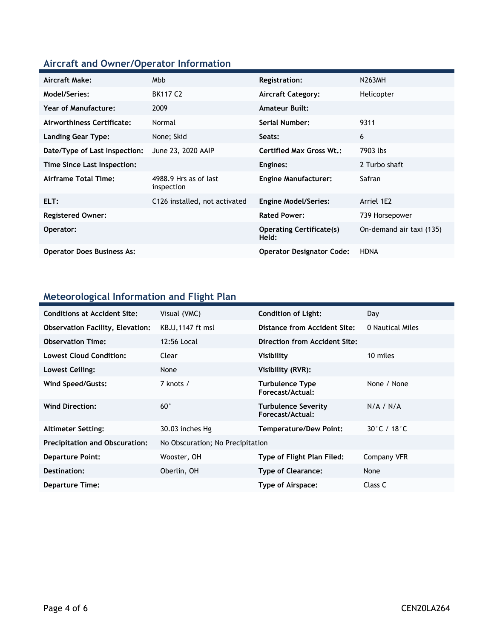# **Aircraft and Owner/Operator Information**

| Aircraft Make:                    | Mbb                                 | <b>Registration:</b>                     | <b>N263MH</b>            |
|-----------------------------------|-------------------------------------|------------------------------------------|--------------------------|
| Model/Series:                     | <b>BK117 C2</b>                     | <b>Aircraft Category:</b>                | Helicopter               |
| <b>Year of Manufacture:</b>       | 2009                                | <b>Amateur Built:</b>                    |                          |
| Airworthiness Certificate:        | Normal                              | <b>Serial Number:</b>                    | 9311                     |
| <b>Landing Gear Type:</b>         | None; Skid                          | Seats:                                   | 6                        |
| Date/Type of Last Inspection:     | June 23, 2020 AAIP                  | <b>Certified Max Gross Wt.:</b>          | 7903 lbs                 |
| Time Since Last Inspection:       |                                     | Engines:                                 | 2 Turbo shaft            |
| Airframe Total Time:              | 4988.9 Hrs as of last<br>inspection | <b>Engine Manufacturer:</b>              | Safran                   |
| ELT:                              | C126 installed, not activated       | <b>Engine Model/Series:</b>              | Arriel 1E2               |
| <b>Registered Owner:</b>          |                                     | <b>Rated Power:</b>                      | 739 Horsepower           |
| Operator:                         |                                     | <b>Operating Certificate(s)</b><br>Held: | On-demand air taxi (135) |
| <b>Operator Does Business As:</b> |                                     | <b>Operator Designator Code:</b>         | <b>HDNA</b>              |

## **Meteorological Information and Flight Plan**

| <b>Conditions at Accident Site:</b>     | Visual (VMC)                     | <b>Condition of Light:</b>              | Day              |
|-----------------------------------------|----------------------------------|-----------------------------------------|------------------|
| <b>Observation Facility, Elevation:</b> | KBJJ,1147 ft msl                 | Distance from Accident Site:            | 0 Nautical Miles |
| <b>Observation Time:</b>                | 12:56 Local                      | Direction from Accident Site:           |                  |
| <b>Lowest Cloud Condition:</b>          | Clear                            | Visibility                              | 10 miles         |
| Lowest Ceiling:                         | None                             | Visibility (RVR):                       |                  |
| Wind Speed/Gusts:                       | 7 knots /                        | Turbulence Type<br>Forecast/Actual:     | None / None      |
| <b>Wind Direction:</b>                  | $60^{\circ}$                     | Turbulence Severity<br>Forecast/Actual: | N/A / N/A        |
| <b>Altimeter Setting:</b>               | 30.03 inches Hg                  | Temperature/Dew Point:                  | 30°C / 18°C      |
| <b>Precipitation and Obscuration:</b>   | No Obscuration; No Precipitation |                                         |                  |
| <b>Departure Point:</b>                 | Wooster, OH                      | Type of Flight Plan Filed:              | Company VFR      |
| Destination:                            | Oberlin, OH                      | Type of Clearance:                      | None             |
| <b>Departure Time:</b>                  |                                  | Type of Airspace:                       | Class C          |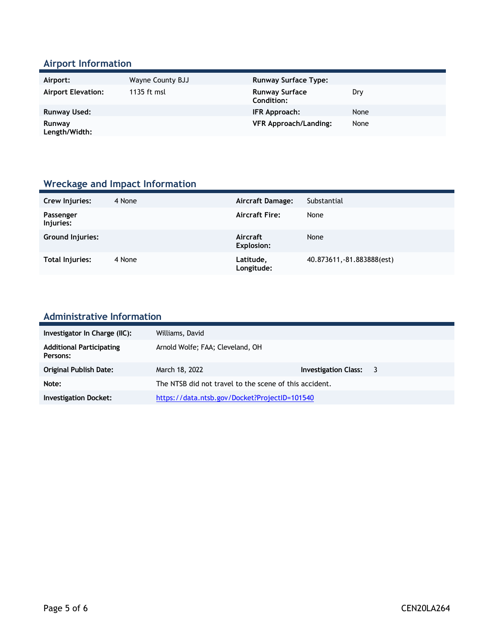#### **Airport Information**

| Airport:                  | Wayne County BJJ | <b>Runway Surface Type:</b>         |      |
|---------------------------|------------------|-------------------------------------|------|
| <b>Airport Elevation:</b> | 1135 ft msl      | <b>Runway Surface</b><br>Condition: | Dry  |
| Runway Used:              |                  | IFR Approach:                       | None |
| Runway<br>Length/Width:   |                  | <b>VFR Approach/Landing:</b>        | None |

# **Wreckage and Impact Information**

| Crew Injuries:         | 4 None | Aircraft Damage:              | Substantial                |
|------------------------|--------|-------------------------------|----------------------------|
| Passenger<br>Injuries: |        | <b>Aircraft Fire:</b>         | None                       |
| Ground Injuries:       |        | Aircraft<br><b>Explosion:</b> | None                       |
| Total Injuries:        | 4 None | Latitude,<br>Longitude:       | 40.873611, -81.883888(est) |

# **Administrative Information**

| Investigator In Charge (IIC):               | Williams, David                                        |                        |  |
|---------------------------------------------|--------------------------------------------------------|------------------------|--|
| <b>Additional Participating</b><br>Persons: | Arnold Wolfe; FAA; Cleveland, OH                       |                        |  |
| <b>Original Publish Date:</b>               | March 18, 2022                                         | Investigation Class: 3 |  |
| Note:                                       | The NTSB did not travel to the scene of this accident. |                        |  |
| <b>Investigation Docket:</b>                | https://data.ntsb.gov/Docket?ProjectID=101540          |                        |  |